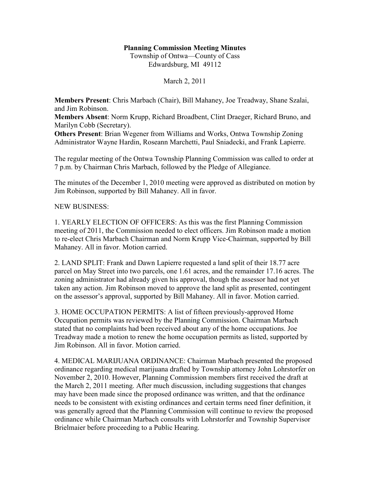# **Planning Commission Meeting Minutes**

Township of Ontwa—County of Cass Edwardsburg, MI 49112

March 2, 2011

**Members Present**: Chris Marbach (Chair), Bill Mahaney, Joe Treadway, Shane Szalai, and Jim Robinson.

**Members Absent**: Norm Krupp, Richard Broadbent, Clint Draeger, Richard Bruno, and Marilyn Cobb (Secretary).

**Others Present**: Brian Wegener from Williams and Works, Ontwa Township Zoning Administrator Wayne Hardin, Roseann Marchetti, Paul Sniadecki, and Frank Lapierre.

The regular meeting of the Ontwa Township Planning Commission was called to order at 7 p.m. by Chairman Chris Marbach, followed by the Pledge of Allegiance.

The minutes of the December 1, 2010 meeting were approved as distributed on motion by Jim Robinson, supported by Bill Mahaney. All in favor.

# NEW BUSINESS:

1. YEARLY ELECTION OF OFFICERS: As this was the first Planning Commission meeting of 2011, the Commission needed to elect officers. Jim Robinson made a motion to re-elect Chris Marbach Chairman and Norm Krupp Vice-Chairman, supported by Bill Mahaney. All in favor. Motion carried.

2. LAND SPLIT: Frank and Dawn Lapierre requested a land split of their 18.77 acre parcel on May Street into two parcels, one 1.61 acres, and the remainder 17.16 acres. The zoning administrator had already given his approval, though the assessor had not yet taken any action. Jim Robinson moved to approve the land split as presented, contingent on the assessor's approval, supported by Bill Mahaney. All in favor. Motion carried.

3. HOME OCCUPATION PERMITS: A list of fifteen previously-approved Home Occupation permits was reviewed by the Planning Commission. Chairman Marbach stated that no complaints had been received about any of the home occupations. Joe Treadway made a motion to renew the home occupation permits as listed, supported by Jim Robinson. All in favor. Motion carried.

4. MEDICAL MARIJUANA ORDINANCE: Chairman Marbach presented the proposed ordinance regarding medical marijuana drafted by Township attorney John Lohrstorfer on November 2, 2010. However, Planning Commission members first received the draft at the March 2, 2011 meeting. After much discussion, including suggestions that changes may have been made since the proposed ordinance was written, and that the ordinance needs to be consistent with existing ordinances and certain terms need finer definition, it was generally agreed that the Planning Commission will continue to review the proposed ordinance while Chairman Marbach consults with Lohrstorfer and Township Supervisor Brielmaier before proceeding to a Public Hearing.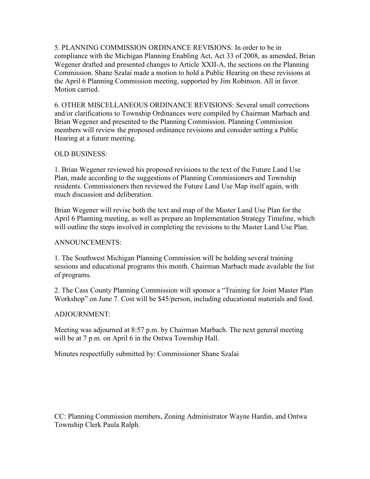5. PLANNING COMMISSION ORDINANCE REVISIONS: In order to be in compliance with the Michigan Planning Enabling Act, Act 33 of 2008, as amended, Brian Wegener drafted and presented changes to Article XXII-A, the sections on the Planning Commission. Shane Szalai made a motion to hold a Public Hearing on these revisions at the April 6 Planning Commission meeting, supported by Jim Robinson. All in favor. Motion carried.

6. OTHER MISCELLANEOUS ORDINANCE REVISIONS: Several small corrections and/or clarifications to Township Ordinances were compiled by Chairman Marbach and Brian Wegener and presented to the Planning Commission. Planning Commission members will review the proposed ordinance revisions and consider setting a Public Hearing at a future meeting.

# OLD BUSINESS:

1. Brian Wegener reviewed his proposed revisions to the text of the Future Land Use Plan, made according to the suggestions of Planning Commissioners and Township residents. Commissioners then reviewed the Future Land Use Map itself again, with much discussion and deliberation.

Brian Wegener will revise both the text and map of the Master Land Use Plan for the April 6 Planning meeting, as well as prepare an Implementation Strategy Timeline, which will outline the steps involved in completing the revisions to the Master Land Use Plan.

# ANNOUNCEMENTS:

1. The Southwest Michigan Planning Commission will be holding several training sessions and educational programs this month. Chairman Marbach made available the list of programs.

2. The Cass County Planning Commission will sponsor a "Training for Joint Master Plan Workshop" on June 7. Cost will be \$45/person, including educational materials and food.

# ADJOURNMENT:

Meeting was adjourned at 8:57 p.m. by Chairman Marbach. The next general meeting will be at 7 p.m. on April 6 in the Ontwa Township Hall.

Minutes respectfully submitted by: Commissioner Shane Szalai

CC: Planning Commission members, Zoning Administrator Wayne Hardin, and Ontwa Township Clerk Paula Ralph.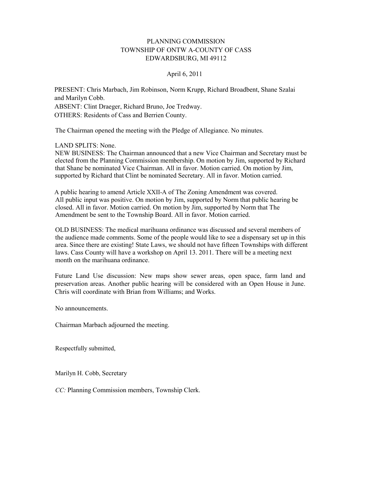#### PLANNING COMMISSION TOWNSHIP OF ONTW A-COUNTY OF CASS EDWARDSBURG, MI 49112

#### April 6, 2011

PRESENT: Chris Marbach, Jim Robinson, Norm Krupp, Richard Broadbent, Shane Szalai and Marilyn Cobb. ABSENT: Clint Draeger, Richard Bruno, Joe Tredway. OTHERS: Residents of Cass and Berrien County.

The Chairman opened the meeting with the Pledge of Allegiance. No minutes.

LAND SPLITS: None.

NEW BUSINESS: The Chairman announced that a new Vice Chairman and Secretary must be elected from the Planning Commission membership. On motion by Jim, supported by Richard that Shane be nominated Vice Chairman. All in favor. Motion carried. On motion by Jim, supported by Richard that Clint be nominated Secretary. All in favor. Motion carried.

A public hearing to amend Article XXII-A of The Zoning Amendment was covered. All public input was positive. On motion by Jim, supported by Norm that public hearing be closed. All in favor. Motion carried. On motion by Jim, supported by Norm that The Amendment be sent to the Township Board. All in favor. Motion carried.

OLD BUSINESS: The medical marihuana ordinance was discussed and several members of the audience made comments. Some of the people would like to see a dispensary set up in this area. Since there are existing! State Laws, we should not have fifteen Townships with different laws. Cass County will have a workshop on April 13. 2011. There will be a meeting next month on the marihuana ordinance.

Future Land Use discussion: New maps show sewer areas, open space, farm land and preservation areas. Another public hearing will be considered with an Open House in June. Chris will coordinate with Brian from Williams; and Works.

No announcements.

Chairman Marbach adjourned the meeting.

Respectfully submitted,

Marilyn H. Cobb, Secretary

*CC:* Planning Commission members, Township Clerk.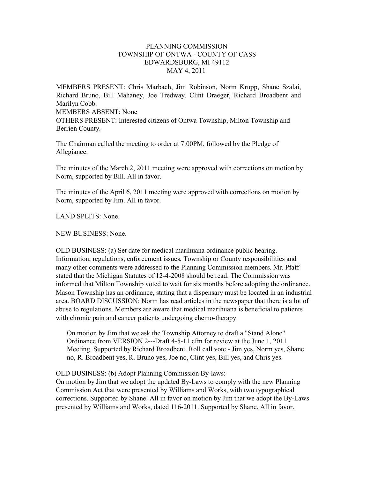# PLANNING COMMISSION TOWNSHIP OF ONTWA - COUNTY OF CASS EDWARDSBURG, MI 49112 MAY 4, 2011

MEMBERS PRESENT: Chris Marbach, Jim Robinson, Norm Krupp, Shane Szalai, Richard Bruno, Bill Mahaney, Joe Tredway, Clint Draeger, Richard Broadbent and Marilyn Cobb. MEMBERS ABSENT: None OTHERS PRESENT: Interested citizens of Ontwa Township, Milton Township and Berrien County.

The Chairman called the meeting to order at 7:00PM, followed by the Pledge of Allegiance.

The minutes of the March 2, 2011 meeting were approved with corrections on motion by Norm, supported by Bill. All in favor.

The minutes of the April 6, 2011 meeting were approved with corrections on motion by Norm, supported by Jim. All in favor.

LAND SPLITS: None.

NEW BUSINESS: None.

OLD BUSINESS: (a) Set date for medical marihuana ordinance public hearing. Information, regulations, enforcement issues, Township or County responsibilities and many other comments were addressed to the Planning Commission members. Mr. Pfaff stated that the Michigan Statutes of 12-4-2008 should be read. The Commission was informed that Milton Township voted to wait for six months before adopting the ordinance. Mason Township has an ordinance, stating that a dispensary must be located in an industrial area. BOARD DISCUSSION: Norm has read articles in the newspaper that there is a lot of abuse to regulations. Members are aware that medical marihuana is beneficial to patients with chronic pain and cancer patients undergoing chemo-therapy.

On motion by Jim that we ask the Township Attorney to draft a "Stand Alone" Ordinance from VERSION 2---Draft 4-5-11 cfm for review at the June 1, 2011 Meeting. Supported by Richard Broadbent. Roll call vote - Jim yes, Norm yes, Shane no, R. Broadbent yes, R. Bruno yes, Joe no, Clint yes, Bill yes, and Chris yes.

OLD BUSINESS: (b) Adopt Planning Commission By-laws:

On motion by Jim that we adopt the updated By-Laws to comply with the new Planning Commission Act that were presented by Williams and Works, with two typographical corrections. Supported by Shane. All in favor on motion by Jim that we adopt the By-Laws presented by Williams and Works, dated 116-2011. Supported by Shane. All in favor.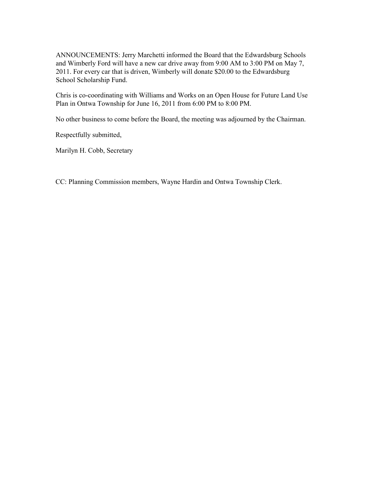ANNOUNCEMENTS: Jerry Marchetti informed the Board that the Edwardsburg Schools and Wimberly Ford will have a new car drive away from 9:00 AM to 3:00 PM on May 7, 2011. For every car that is driven, Wimberly will donate \$20.00 to the Edwardsburg School Scholarship Fund.

Chris is co-coordinating with Williams and Works on an Open House for Future Land Use Plan in Ontwa Township for June 16, 2011 from 6:00 PM to 8:00 PM.

No other business to come before the Board, the meeting was adjourned by the Chairman.

Respectfully submitted,

Marilyn H. Cobb, Secretary

CC: Planning Commission members, Wayne Hardin and Ontwa Township Clerk.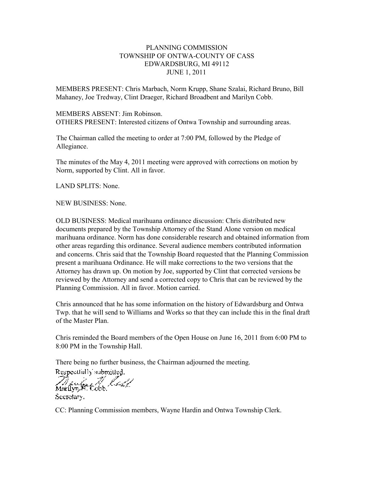# PLANNING COMMISSION TOWNSHIP OF ONTWA-COUNTY OF CASS EDWARDSBURG, MI 49112 JUNE 1, 2011

MEMBERS PRESENT: Chris Marbach, Norm Krupp, Shane Szalai, Richard Bruno, Bill Mahaney, Joe Tredway, Clint Draeger, Richard Broadbent and Marilyn Cobb.

#### MEMBERS ABSENT: Jim Robinson. OTHERS PRESENT: Interested citizens of Ontwa Township and surrounding areas.

The Chairman called the meeting to order at 7:00 PM, followed by the Pledge of Allegiance.

The minutes of the May 4, 2011 meeting were approved with corrections on motion by Norm, supported by Clint. All in favor.

LAND SPLITS: None.

NEW BUSINESS: None.

OLD BUSINESS: Medical marihuana ordinance discussion: Chris distributed new documents prepared by the Township Attorney of the Stand Alone version on medical marihuana ordinance. Norm has done considerable research and obtained information from other areas regarding this ordinance. Several audience members contributed information and concerns. Chris said that the Township Board requested that the Planning Commission present a marihuana Ordinance. He will make corrections to the two versions that the Attorney has drawn up. On motion by Joe, supported by Clint that corrected versions be reviewed by the Attorney and send a corrected copy to Chris that can be reviewed by the Planning Commission. All in favor. Motion carried.

Chris announced that he has some information on the history of Edwardsburg and Ontwa Twp. that he will send to Williams and Works so that they can include this in the final draft of the Master Plan.

Chris reminded the Board members of the Open House on June 16, 2011 from 6:00 PM to 8:00 PM in the Township Hall.

There being no further business, the Chairman adjourned the meeting.<br>Respectfully submitted.<br>Marilyn, R. Cobb.

Secretary.

CC: Planning Commission members, Wayne Hardin and Ontwa Township Clerk.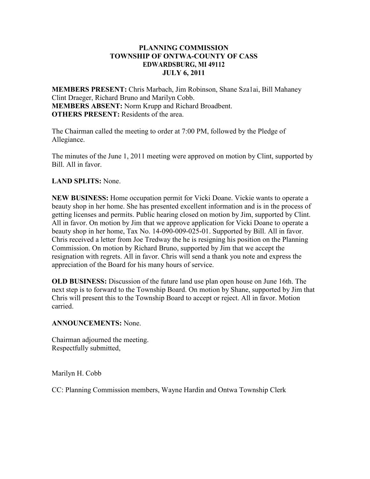# **PLANNING COMMISSION TOWNSHIP OF ONTWA-COUNTY OF CASS EDWARDSBURG, MI 49112 JULY 6, 2011**

**MEMBERS PRESENT:** Chris Marbach, Jim Robinson, Shane Sza1ai, Bill Mahaney Clint Draeger, Richard Bruno and Marilyn Cobb. **MEMBERS ABSENT:** Norm Krupp and Richard Broadbent. **OTHERS PRESENT:** Residents of the area.

The Chairman called the meeting to order at 7:00 PM, followed by the Pledge of Allegiance.

The minutes of the June 1, 2011 meeting were approved on motion by Clint, supported by Bill. All in favor.

# **LAND SPLITS:** None.

**NEW BUSINESS:** Home occupation permit for Vicki Doane. Vickie wants to operate a beauty shop in her home. She has presented excellent information and is in the process of getting licenses and permits. Public hearing closed on motion by Jim, supported by Clint. All in favor. On motion by Jim that we approve application for Vicki Doane to operate a beauty shop in her home, Tax No. 14-090-009-025-01. Supported by Bill. All in favor. Chris received a letter from Joe Tredway the he is resigning his position on the Planning Commission. On motion by Richard Bruno, supported by Jim that we accept the resignation with regrets. All in favor. Chris will send a thank you note and express the appreciation of the Board for his many hours of service.

**OLD BUSINESS:** Discussion of the future land use plan open house on June 16th. The next step is to forward to the Township Board. On motion by Shane, supported by Jim that Chris will present this to the Township Board to accept or reject. All in favor. Motion carried.

# **ANNOUNCEMENTS:** None.

Chairman adjourned the meeting. Respectfully submitted,

Marilyn H. Cobb

CC: Planning Commission members, Wayne Hardin and Ontwa Township Clerk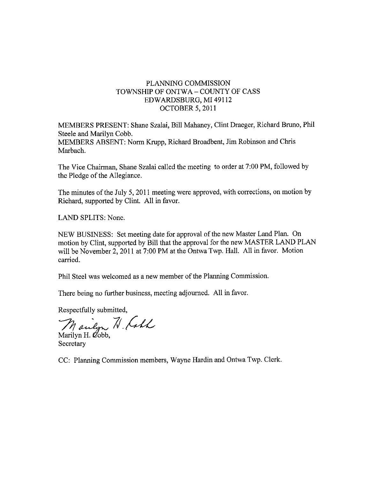# PLANNING COMMISSION TOWNSHIP OF ONTWA - COUNTY OF CASS EDWARDSBURG, MI 49112 **OCTOBER 5, 2011**

MEMBERS PRESENT: Shane Szalai, Bill Mahaney, Clint Draeger, Richard Bruno, Phil Steele and Marilyn Cobb. MEMBERS ABSENT: Norm Krupp, Richard Broadbent, Jim Robinson and Chris Marbach.

The Vice Chairman, Shane Szalai called the meeting to order at 7:00 PM, followed by the Pledge of the Allegiance.

The minutes of the July 5, 2011 meeting were approved, with corrections, on motion by Richard, supported by Clint. All in favor.

LAND SPLITS: None.

NEW BUSINESS: Set meeting date for approval of the new Master Land Plan. On motion by Clint, supported by Bill that the approval for the new MASTER LAND PLAN will be November 2, 2011 at 7:00 PM at the Ontwa Twp. Hall. All in favor. Motion carried.

Phil Steel was welcomed as a new member of the Planning Commission.

There being no further business, meeting adjourned. All in favor.

Respectfully submitted,

Manlyn N Call

Secretary

CC: Planning Commission members, Wayne Hardin and Ontwa Twp. Clerk.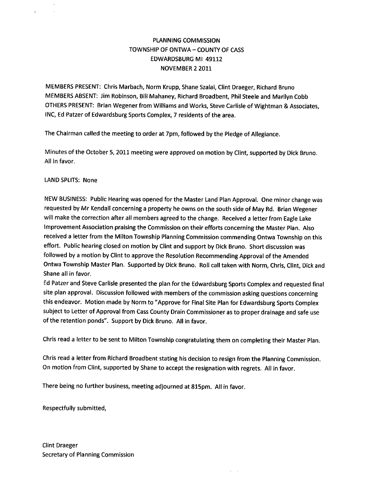# **PLANNING COMMISSION** TOWNSHIP OF ONTWA - COUNTY OF CASS EDWARDSBURG MI 49112 NOVEMBER 2 2011

MEMBERS PRESENT: Chris Marbach, Norm Krupp, Shane Szalai, Clint Draeger, Richard Bruno MEMBERS ABSENT: Jim Robinson, Bill Mahaney, Richard Broadbent, Phil Steele and Marilyn Cobb OTHERS PRESENT: Brian Wegener from Williams and Works, Steve Carlisle of Wightman & Associates, INC, Ed Patzer of Edwardsburg Sports Complex, 7 residents of the area.

The Chairman called the meeting to order at 7pm, followed by the Pledge of Allegiance.

Minutes of the October 5, 2011 meeting were approved on motion by Clint, supported by Dick Bruno. All in favor.

#### **LAND SPLITS: None**

NEW BUSINESS: Public Hearing was opened for the Master Land Plan Approval. One minor change was requested by Mr Kendall concerning a property he owns on the south side of May Rd. Brian Wegener will make the correction after all members agreed to the change. Received a letter from Eagle Lake Improvement Association praising the Commission on their efforts concerning the Master Plan. Also received a letter from the Milton Township Planning Commission commending Ontwa Township on this effort. Public hearing closed on motion by Clint and support by Dick Bruno. Short discussion was followed by a motion by Clint to approve the Resolution Recommending Approval of the Amended Ontwa Township Master Plan. Supported by Dick Bruno. Roll call taken with Norm, Chris, Clint, Dick and Shane all in favor.

Ed Patzer and Steve Carlisle presented the plan for the Edwardsburg Sports Complex and requested final site plan approval. Discussion followed with members of the commission asking questions concerning this endeavor. Motion made by Norm to "Approve for Final Site Plan for Edwardsburg Sports Complex subject to Letter of Approval from Cass County Drain Commissioner as to proper drainage and safe use of the retention ponds". Support by Dick Bruno. All in favor.

Chris read a letter to be sent to Milton Township congratulating them on completing their Master Plan.

Chris read a letter from Richard Broadbent stating his decision to resign from the Planning Commission. On motion from Clint, supported by Shane to accept the resignation with regrets. All in favor.

There being no further business, meeting adjourned at 815pm. All in favor.

Respectfully submitted,

**Clint Draeger** Secretary of Planning Commission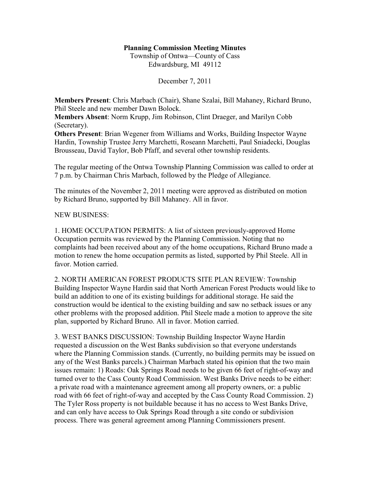# **Planning Commission Meeting Minutes**

Township of Ontwa—County of Cass Edwardsburg, MI 49112

December 7, 2011

**Members Present**: Chris Marbach (Chair), Shane Szalai, Bill Mahaney, Richard Bruno, Phil Steele and new member Dawn Bolock.

**Members Absent**: Norm Krupp, Jim Robinson, Clint Draeger, and Marilyn Cobb (Secretary).

**Others Present**: Brian Wegener from Williams and Works, Building Inspector Wayne Hardin, Township Trustee Jerry Marchetti, Roseann Marchetti, Paul Sniadecki, Douglas Brousseau, David Taylor, Bob Pfaff, and several other township residents.

The regular meeting of the Ontwa Township Planning Commission was called to order at 7 p.m. by Chairman Chris Marbach, followed by the Pledge of Allegiance.

The minutes of the November 2, 2011 meeting were approved as distributed on motion by Richard Bruno, supported by Bill Mahaney. All in favor.

# NEW BUSINESS:

1. HOME OCCUPATION PERMITS: A list of sixteen previously-approved Home Occupation permits was reviewed by the Planning Commission. Noting that no complaints had been received about any of the home occupations, Richard Bruno made a motion to renew the home occupation permits as listed, supported by Phil Steele. All in favor. Motion carried.

2. NORTH AMERICAN FOREST PRODUCTS SITE PLAN REVIEW: Township Building Inspector Wayne Hardin said that North American Forest Products would like to build an addition to one of its existing buildings for additional storage. He said the construction would be identical to the existing building and saw no setback issues or any other problems with the proposed addition. Phil Steele made a motion to approve the site plan, supported by Richard Bruno. All in favor. Motion carried.

3. WEST BANKS DISCUSSION: Township Building Inspector Wayne Hardin requested a discussion on the West Banks subdivision so that everyone understands where the Planning Commission stands. (Currently, no building permits may be issued on any of the West Banks parcels.) Chairman Marbach stated his opinion that the two main issues remain: 1) Roads: Oak Springs Road needs to be given 66 feet of right-of-way and turned over to the Cass County Road Commission. West Banks Drive needs to be either: a private road with a maintenance agreement among all property owners, or: a public road with 66 feet of right-of-way and accepted by the Cass County Road Commission. 2) The Tyler Ross property is not buildable because it has no access to West Banks Drive, and can only have access to Oak Springs Road through a site condo or subdivision process. There was general agreement among Planning Commissioners present.